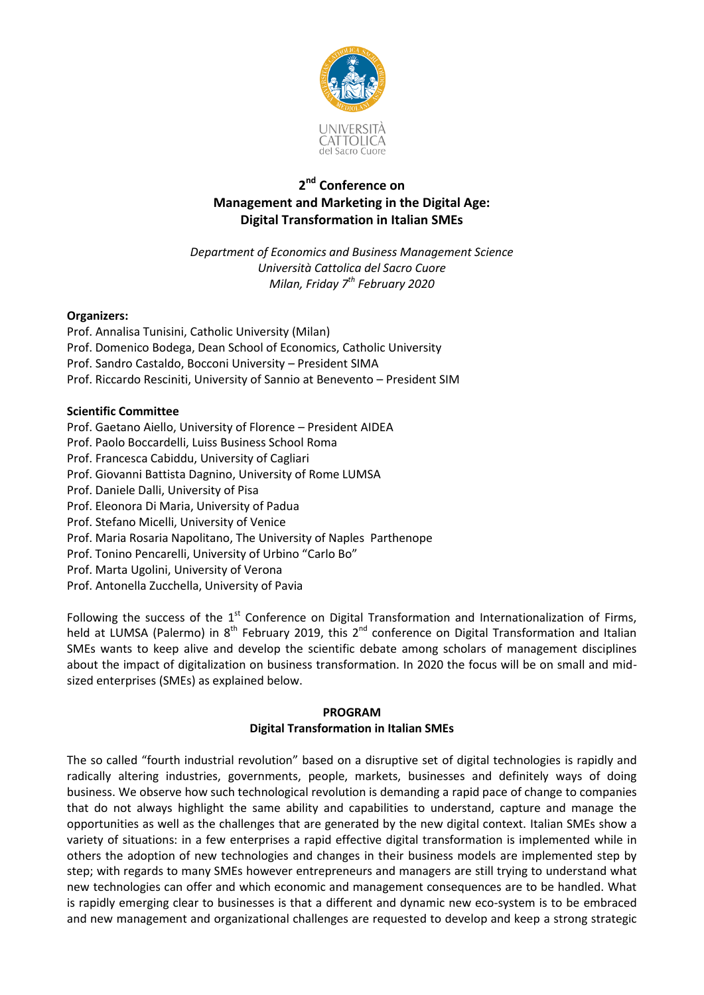

# **2 nd Conference on Management and Marketing in the Digital Age: Digital Transformation in Italian SMEs**

*Department of Economics and Business Management Science Università Cattolica del Sacro Cuore Milan, Friday 7 th February 2020*

### **Organizers:**

Prof. Annalisa Tunisini, Catholic University (Milan) Prof. Domenico Bodega, Dean School of Economics, Catholic University Prof. Sandro Castaldo, Bocconi University – President SIMA Prof. Riccardo Resciniti, University of Sannio at Benevento – President SIM

### **Scientific Committee**

- Prof. Gaetano Aiello, University of Florence President AIDEA
- Prof. Paolo Boccardelli, Luiss Business School Roma
- Prof. Francesca Cabiddu, University of Cagliari
- Prof. Giovanni Battista Dagnino, University of Rome LUMSA
- Prof. Daniele Dalli, University of Pisa
- Prof. Eleonora Di Maria, University of Padua
- Prof. Stefano Micelli, University of Venice
- Prof. Maria Rosaria Napolitano, The University of Naples Parthenope
- Prof. Tonino Pencarelli, University of Urbino "Carlo Bo"
- Prof. Marta Ugolini, University of Verona
- Prof. Antonella Zucchella, University of Pavia

Following the success of the 1<sup>st</sup> Conference on Digital Transformation and Internationalization of Firms, held at LUMSA (Palermo) in 8<sup>th</sup> February 2019, this 2<sup>nd</sup> conference on Digital Transformation and Italian SMEs wants to keep alive and develop the scientific debate among scholars of management disciplines about the impact of digitalization on business transformation. In 2020 the focus will be on small and midsized enterprises (SMEs) as explained below.

# **PROGRAM Digital Transformation in Italian SMEs**

The so called "fourth industrial revolution" based on a disruptive set of digital technologies is rapidly and radically altering industries, governments, people, markets, businesses and definitely ways of doing business. We observe how such technological revolution is demanding a rapid pace of change to companies that do not always highlight the same ability and capabilities to understand, capture and manage the opportunities as well as the challenges that are generated by the new digital context. Italian SMEs show a variety of situations: in a few enterprises a rapid effective digital transformation is implemented while in others the adoption of new technologies and changes in their business models are implemented step by step; with regards to many SMEs however entrepreneurs and managers are still trying to understand what new technologies can offer and which economic and management consequences are to be handled. What is rapidly emerging clear to businesses is that a different and dynamic new eco-system is to be embraced and new management and organizational challenges are requested to develop and keep a strong strategic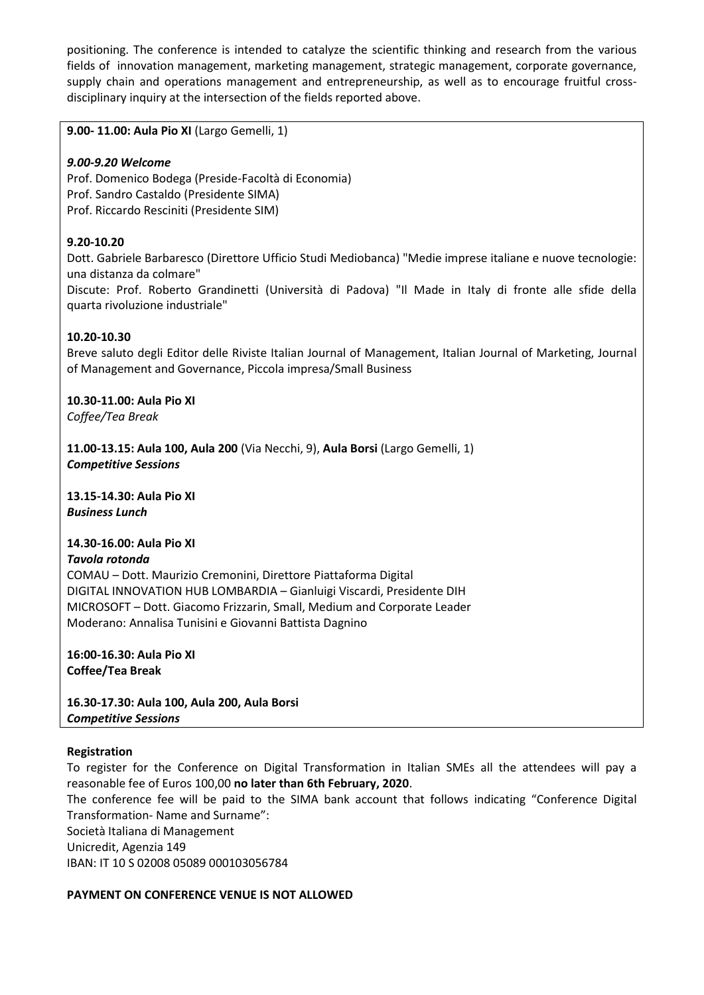positioning. The conference is intended to catalyze the scientific thinking and research from the various fields of innovation management, marketing management, strategic management, corporate governance, supply chain and operations management and entrepreneurship, as well as to encourage fruitful crossdisciplinary inquiry at the intersection of the fields reported above.

**9.00- 11.00: Aula Pio XI** (Largo Gemelli, 1)

## *9.00-9.20 Welcome*

Prof. Domenico Bodega (Preside-Facoltà di Economia) Prof. Sandro Castaldo (Presidente SIMA) Prof. Riccardo Resciniti (Presidente SIM)

# **9.20-10.20**

Dott. Gabriele Barbaresco (Direttore Ufficio Studi Mediobanca) "Medie imprese italiane e nuove tecnologie: una distanza da colmare"

Discute: Prof. Roberto Grandinetti (Università di Padova) "Il Made in Italy di fronte alle sfide della quarta rivoluzione industriale"

### **10.20-10.30**

Breve saluto degli Editor delle Riviste Italian Journal of Management, Italian Journal of Marketing, Journal of Management and Governance, Piccola impresa/Small Business

**10.30-11.00: Aula Pio XI** *Coffee/Tea Break*

**11.00-13.15: Aula 100, Aula 200** (Via Necchi, 9), **Aula Borsi** (Largo Gemelli, 1) *Competitive Sessions*

**13.15-14.30: Aula Pio XI**  *Business Lunch*

# **14.30-16.00: Aula Pio XI**

#### *Tavola rotonda*

COMAU – Dott. Maurizio Cremonini, Direttore Piattaforma Digital DIGITAL INNOVATION HUB LOMBARDIA – Gianluigi Viscardi, Presidente DIH MICROSOFT – Dott. Giacomo Frizzarin, Small, Medium and Corporate Leader Moderano: Annalisa Tunisini e Giovanni Battista Dagnino

**16:00-16.30: Aula Pio XI Coffee/Tea Break**

**16.30-17.30: Aula 100, Aula 200, Aula Borsi**  *Competitive Sessions*

#### **Registration**

To register for the Conference on Digital Transformation in Italian SMEs all the attendees will pay a reasonable fee of Euros 100,00 **no later than 6th February, 2020**.

The conference fee will be paid to the SIMA bank account that follows indicating "Conference Digital Transformation- Name and Surname":

Società Italiana di Management

Unicredit, Agenzia 149

IBAN: IT 10 S 02008 05089 000103056784

# **PAYMENT ON CONFERENCE VENUE IS NOT ALLOWED**